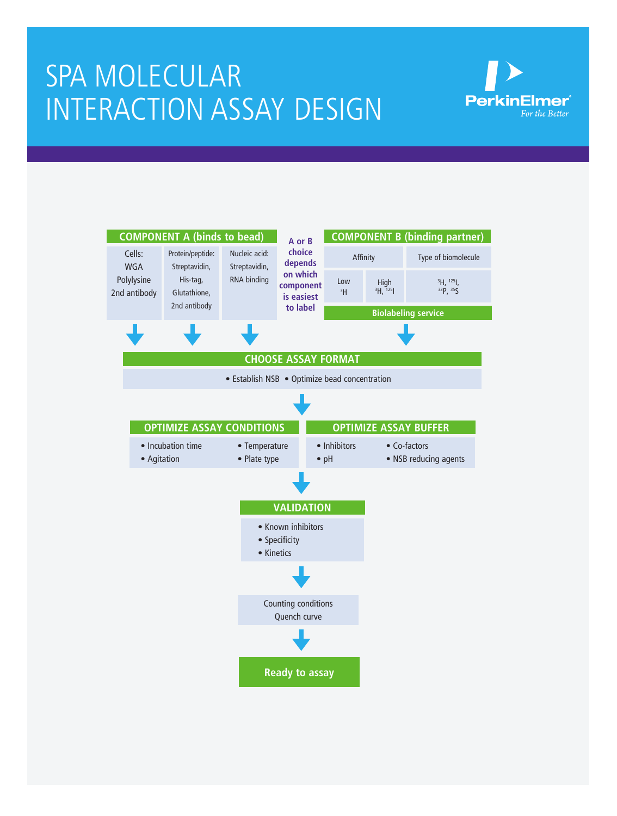# Spa MOLECULAR INTERACTION assay design